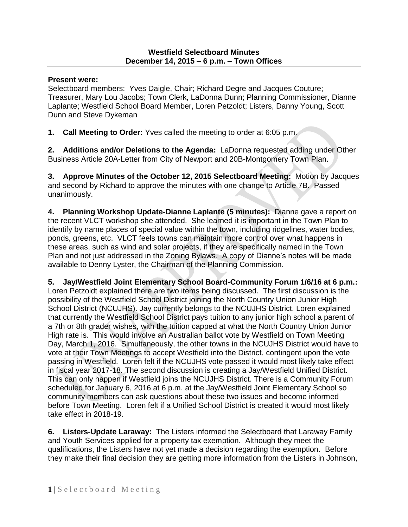## **Present were:**

Selectboard members: Yves Daigle, Chair; Richard Degre and Jacques Couture; Treasurer, Mary Lou Jacobs; Town Clerk, LaDonna Dunn; Planning Commissioner, Dianne Laplante; Westfield School Board Member, Loren Petzoldt; Listers, Danny Young, Scott Dunn and Steve Dykeman

**1. Call Meeting to Order:** Yves called the meeting to order at 6:05 p.m.

**2. Additions and/or Deletions to the Agenda:** LaDonna requested adding under Other Business Article 20A-Letter from City of Newport and 20B-Montgomery Town Plan.

**3. Approve Minutes of the October 12, 2015 Selectboard Meeting:** Motion by Jacques and second by Richard to approve the minutes with one change to Article 7B. Passed unanimously.

**4. Planning Workshop Update-Dianne Laplante (5 minutes):** Dianne gave a report on the recent VLCT workshop she attended. She learned it is important in the Town Plan to identify by name places of special value within the town, including ridgelines, water bodies, ponds, greens, etc. VLCT feels towns can maintain more control over what happens in these areas, such as wind and solar projects, if they are specifically named in the Town Plan and not just addressed in the Zoning Bylaws. A copy of Dianne's notes will be made available to Denny Lyster, the Chairman of the Planning Commission.

**5. Jay/Westfield Joint Elementary School Board-Community Forum 1/6/16 at 6 p.m.:**  Loren Petzoldt explained there are two items being discussed. The first discussion is the possibility of the Westfield School District joining the North Country Union Junior High School District (NCUJHS). Jay currently belongs to the NCUJHS District. Loren explained that currently the Westfield School District pays tuition to any junior high school a parent of a 7th or 8th grader wishes, with the tuition capped at what the North Country Union Junior High rate is. This would involve an Australian ballot vote by Westfield on Town Meeting Day, March 1, 2016. Simultaneously, the other towns in the NCUJHS District would have to vote at their Town Meetings to accept Westfield into the District, contingent upon the vote passing in Westfield. Loren felt if the NCUJHS vote passed it would most likely take effect in fiscal year 2017-18. The second discussion is creating a Jay/Westfield Unified District. This can only happen if Westfield joins the NCUJHS District. There is a Community Forum scheduled for January 6, 2016 at 6 p.m. at the Jay/Westfield Joint Elementary School so community members can ask questions about these two issues and become informed before Town Meeting. Loren felt if a Unified School District is created it would most likely take effect in 2018-19.

**6. Listers-Update Laraway:** The Listers informed the Selectboard that Laraway Family and Youth Services applied for a property tax exemption. Although they meet the qualifications, the Listers have not yet made a decision regarding the exemption. Before they make their final decision they are getting more information from the Listers in Johnson,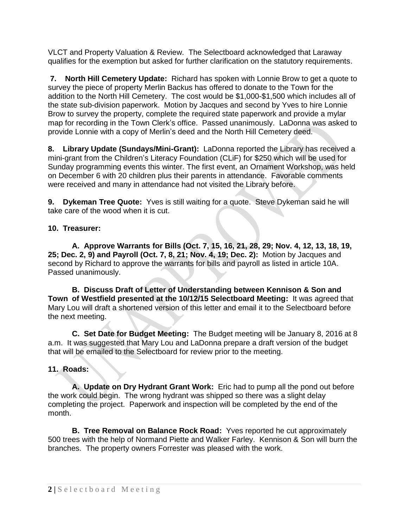VLCT and Property Valuation & Review. The Selectboard acknowledged that Laraway qualifies for the exemption but asked for further clarification on the statutory requirements.

**7. North Hill Cemetery Update:** Richard has spoken with Lonnie Brow to get a quote to survey the piece of property Merlin Backus has offered to donate to the Town for the addition to the North Hill Cemetery. The cost would be \$1,000-\$1,500 which includes all of the state sub-division paperwork. Motion by Jacques and second by Yves to hire Lonnie Brow to survey the property, complete the required state paperwork and provide a mylar map for recording in the Town Clerk's office. Passed unanimously. LaDonna was asked to provide Lonnie with a copy of Merlin's deed and the North Hill Cemetery deed.

**8. Library Update (Sundays/Mini-Grant):** LaDonna reported the Library has received a mini-grant from the Children's Literacy Foundation (CLiF) for \$250 which will be used for Sunday programming events this winter. The first event, an Ornament Workshop, was held on December 6 with 20 children plus their parents in attendance. Favorable comments were received and many in attendance had not visited the Library before.

**9. Dykeman Tree Quote:** Yves is still waiting for a quote. Steve Dykeman said he will take care of the wood when it is cut.

## **10. Treasurer:**

**A. Approve Warrants for Bills (Oct. 7, 15, 16, 21, 28, 29; Nov. 4, 12, 13, 18, 19, 25; Dec. 2, 9) and Payroll (Oct. 7, 8, 21; Nov. 4, 19; Dec. 2):** Motion by Jacques and second by Richard to approve the warrants for bills and payroll as listed in article 10A. Passed unanimously.

**B. Discuss Draft of Letter of Understanding between Kennison & Son and Town of Westfield presented at the 10/12/15 Selectboard Meeting:** It was agreed that Mary Lou will draft a shortened version of this letter and email it to the Selectboard before the next meeting.

**C. Set Date for Budget Meeting:** The Budget meeting will be January 8, 2016 at 8 a.m. It was suggested that Mary Lou and LaDonna prepare a draft version of the budget that will be emailed to the Selectboard for review prior to the meeting.

## **11. Roads:**

**A. Update on Dry Hydrant Grant Work:** Eric had to pump all the pond out before the work could begin. The wrong hydrant was shipped so there was a slight delay completing the project. Paperwork and inspection will be completed by the end of the month.

**B. Tree Removal on Balance Rock Road:** Yves reported he cut approximately 500 trees with the help of Normand Piette and Walker Farley. Kennison & Son will burn the branches. The property owners Forrester was pleased with the work.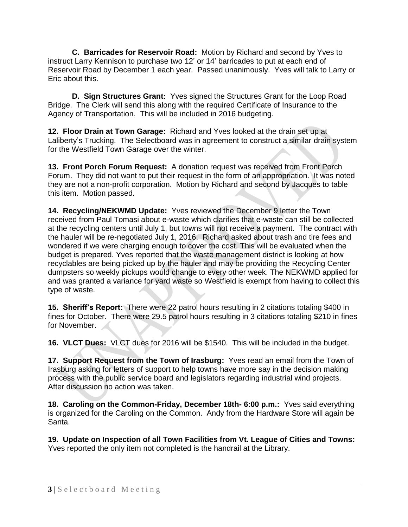**C. Barricades for Reservoir Road:** Motion by Richard and second by Yves to instruct Larry Kennison to purchase two 12' or 14' barricades to put at each end of Reservoir Road by December 1 each year. Passed unanimously. Yves will talk to Larry or Eric about this.

**D. Sign Structures Grant:** Yves signed the Structures Grant for the Loop Road Bridge. The Clerk will send this along with the required Certificate of Insurance to the Agency of Transportation. This will be included in 2016 budgeting.

**12. Floor Drain at Town Garage:** Richard and Yves looked at the drain set up at Laliberty's Trucking. The Selectboard was in agreement to construct a similar drain system for the Westfield Town Garage over the winter.

**13. Front Porch Forum Request:** A donation request was received from Front Porch Forum. They did not want to put their request in the form of an appropriation. It was noted they are not a non-profit corporation. Motion by Richard and second by Jacques to table this item. Motion passed.

**14. Recycling/NEKWMD Update:** Yves reviewed the December 9 letter the Town received from Paul Tomasi about e-waste which clarifies that e-waste can still be collected at the recycling centers until July 1, but towns will not receive a payment. The contract with the hauler will be re-negotiated July 1, 2016. Richard asked about trash and tire fees and wondered if we were charging enough to cover the cost. This will be evaluated when the budget is prepared. Yves reported that the waste management district is looking at how recyclables are being picked up by the hauler and may be providing the Recycling Center dumpsters so weekly pickups would change to every other week. The NEKWMD applied for and was granted a variance for yard waste so Westfield is exempt from having to collect this type of waste.

**15. Sheriff's Report:** There were 22 patrol hours resulting in 2 citations totaling \$400 in fines for October. There were 29.5 patrol hours resulting in 3 citations totaling \$210 in fines for November.

**16. VLCT Dues:** VLCT dues for 2016 will be \$1540. This will be included in the budget.

**17. Support Request from the Town of Irasburg:** Yves read an email from the Town of Irasburg asking for letters of support to help towns have more say in the decision making process with the public service board and legislators regarding industrial wind projects. After discussion no action was taken.

**18. Caroling on the Common-Friday, December 18th- 6:00 p.m.:** Yves said everything is organized for the Caroling on the Common. Andy from the Hardware Store will again be Santa.

**19. Update on Inspection of all Town Facilities from Vt. League of Cities and Towns:** Yves reported the only item not completed is the handrail at the Library.